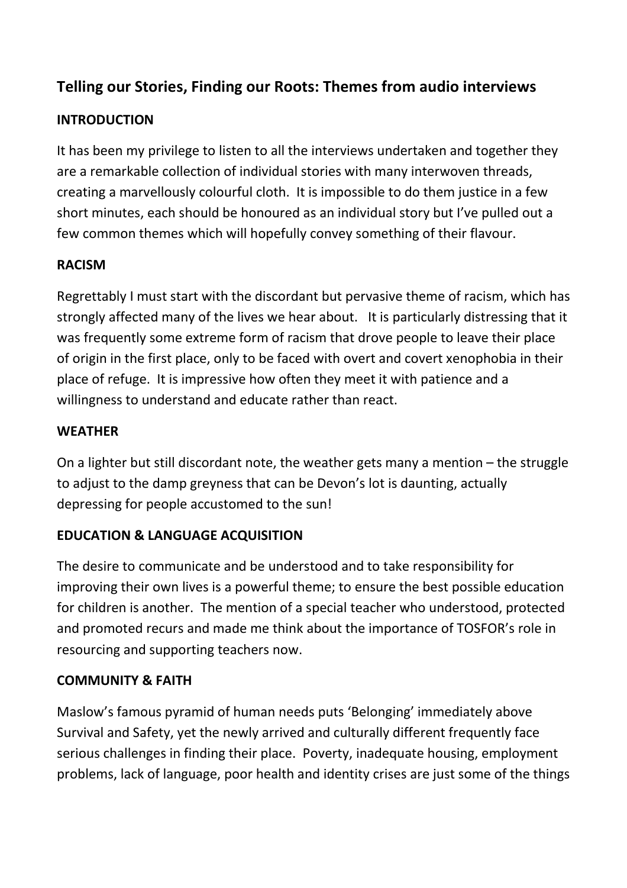# **Telling our Stories, Finding our Roots: Themes from audio interviews**

# **INTRODUCTION**

It has been my privilege to listen to all the interviews undertaken and together they are a remarkable collection of individual stories with many interwoven threads, creating a marvellously colourful cloth. It is impossible to do them justice in a few short minutes, each should be honoured as an individual story but I've pulled out a few common themes which will hopefully convey something of their flavour.

# **RACISM**

Regrettably I must start with the discordant but pervasive theme of racism, which has strongly affected many of the lives we hear about. It is particularly distressing that it was frequently some extreme form of racism that drove people to leave their place of origin in the first place, only to be faced with overt and covert xenophobia in their place of refuge. It is impressive how often they meet it with patience and a willingness to understand and educate rather than react.

#### **WEATHER**

On a lighter but still discordant note, the weather gets many a mention – the struggle to adjust to the damp greyness that can be Devon's lot is daunting, actually depressing for people accustomed to the sun!

### **EDUCATION & LANGUAGE ACQUISITION**

The desire to communicate and be understood and to take responsibility for improving their own lives is a powerful theme; to ensure the best possible education for children is another. The mention of a special teacher who understood, protected and promoted recurs and made me think about the importance of TOSFOR's role in resourcing and supporting teachers now.

#### **COMMUNITY & FAITH**

Maslow's famous pyramid of human needs puts 'Belonging' immediately above Survival and Safety, yet the newly arrived and culturally different frequently face serious challenges in finding their place. Poverty, inadequate housing, employment problems, lack of language, poor health and identity crises are just some of the things